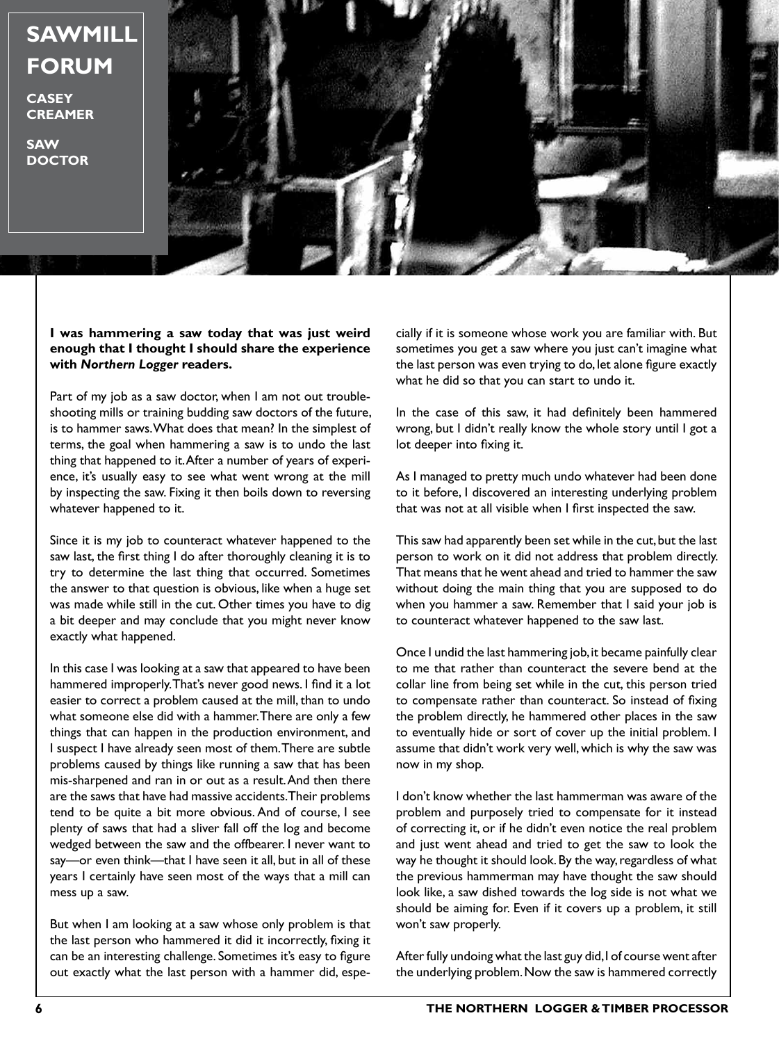

**CASEY CREAMER**

**SAW DOCTOR**



#### **I was hammering a saw today that was just weird enough that I thought I should share the experience with** *Northern Logger* **readers.**

Part of my job as a saw doctor, when I am not out troubleshooting mills or training budding saw doctors of the future, is to hammer saws. What does that mean? In the simplest of terms, the goal when hammering a saw is to undo the last thing that happened to it. After a number of years of experience, it's usually easy to see what went wrong at the mill by inspecting the saw. Fixing it then boils down to reversing whatever happened to it.

Since it is my job to counteract whatever happened to the saw last, the first thing I do after thoroughly cleaning it is to try to determine the last thing that occurred. Sometimes the answer to that question is obvious, like when a huge set was made while still in the cut. Other times you have to dig a bit deeper and may conclude that you might never know exactly what happened.

In this case I was looking at a saw that appeared to have been hammered improperly. That's never good news. I find it a lot easier to correct a problem caused at the mill, than to undo what someone else did with a hammer. There are only a few things that can happen in the production environment, and I suspect I have already seen most of them. There are subtle problems caused by things like running a saw that has been mis-sharpened and ran in or out as a result. And then there are the saws that have had massive accidents. Their problems tend to be quite a bit more obvious. And of course, I see plenty of saws that had a sliver fall off the log and become wedged between the saw and the offbearer. I never want to say—or even think—that I have seen it all, but in all of these years I certainly have seen most of the ways that a mill can mess up a saw.

But when I am looking at a saw whose only problem is that the last person who hammered it did it incorrectly, fixing it can be an interesting challenge. Sometimes it's easy to figure out exactly what the last person with a hammer did, espe-

cially if it is someone whose work you are familiar with. But sometimes you get a saw where you just can't imagine what the last person was even trying to do, let alone figure exactly what he did so that you can start to undo it.

In the case of this saw, it had definitely been hammered wrong, but I didn't really know the whole story until I got a lot deeper into fixing it.

As I managed to pretty much undo whatever had been done to it before, I discovered an interesting underlying problem that was not at all visible when I first inspected the saw.

This saw had apparently been set while in the cut, but the last person to work on it did not address that problem directly. That means that he went ahead and tried to hammer the saw without doing the main thing that you are supposed to do when you hammer a saw. Remember that I said your job is to counteract whatever happened to the saw last.

Once I undid the last hammering job, it became painfully clear to me that rather than counteract the severe bend at the collar line from being set while in the cut, this person tried to compensate rather than counteract. So instead of fixing the problem directly, he hammered other places in the saw to eventually hide or sort of cover up the initial problem. I assume that didn't work very well, which is why the saw was now in my shop.

I don't know whether the last hammerman was aware of the problem and purposely tried to compensate for it instead of correcting it, or if he didn't even notice the real problem and just went ahead and tried to get the saw to look the way he thought it should look. By the way, regardless of what the previous hammerman may have thought the saw should look like, a saw dished towards the log side is not what we should be aiming for. Even if it covers up a problem, it still won't saw properly.

After fully undoing what the last guy did, I of course went after the underlying problem. Now the saw is hammered correctly